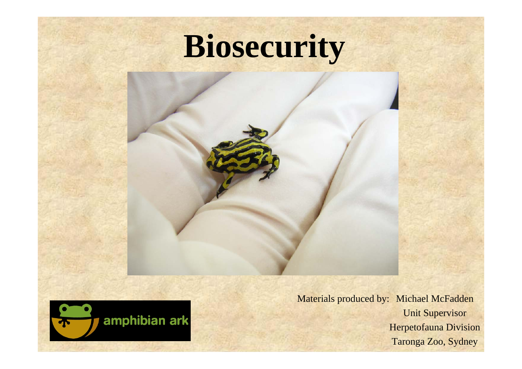# **Biosecurity**





Materials produced by: Michael McFadden Unit Supervisor Herpetofauna Division Taronga Zoo, Sydney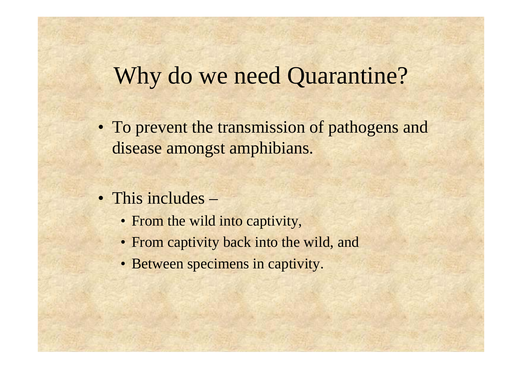#### Why do we need Quarantine?

- To prevent the transmission of pathogens and disease amongst amphibians.
- This includes
	- From the wild into captivity,
	- From captivity back into the wild, and
	- Between specimens in captivity.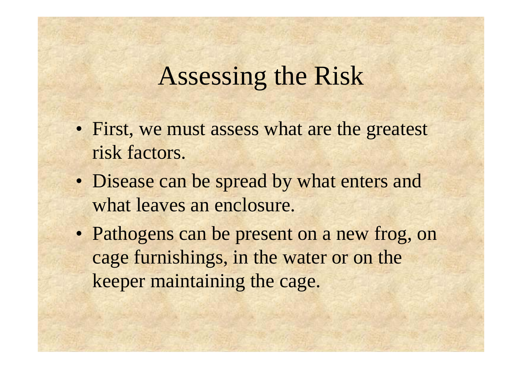#### Assessing the Risk

- First, we must assess what are the greatest risk factors.
- Disease can be spread by what enters and what leaves an enclosure.
- Pathogens can be present on a new frog, on cage furnishings, in the water or on the keeper maintaining the cage.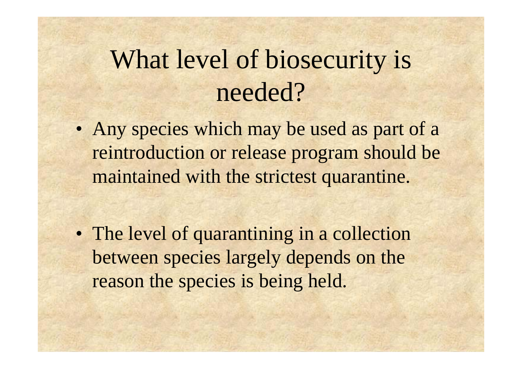# What level of biosecurity is needed?

• Any species which may be used as part of a reintroduction or release program should be maintained with the strictest quarantine.

• The level of quarantining in a collection between species largely depends on the reason the species is being held.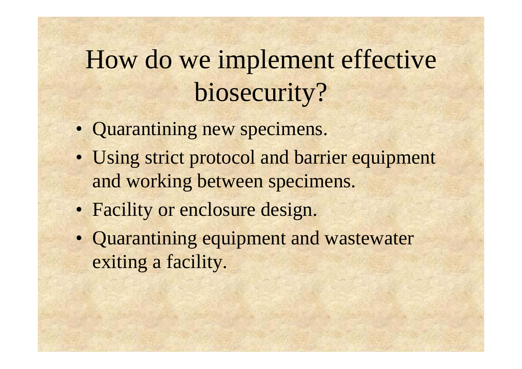# How do we implement effective biosecurity?

- Quarantining new specimens.
- Using strict protocol and barrier equipment and working between specimens.
- Facility or enclosure design.
- Quarantining equipment and wastewater exiting a facility.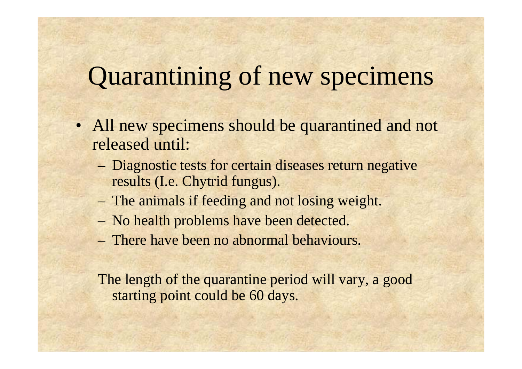# Quarantining of new specimens

- All new specimens should be quarantined and not released until:
	- Diagnostic tests for certain diseases return negative results (I.e. Chytrid fungus).
	- The animals if feeding and not losing weight.
	- No health problems have been detected.
	- There have been no abnormal behaviours.

The length of the quarantine period will vary, a good starting point could be 60 days.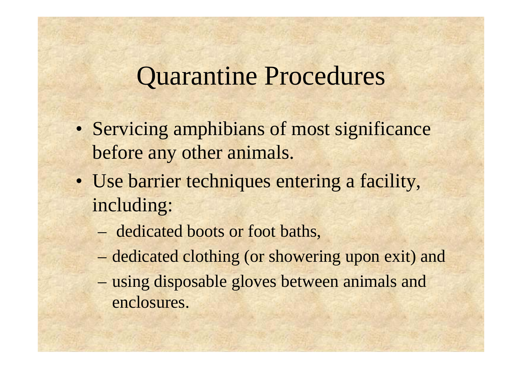#### Quarantine Procedures

- Servicing amphibians of most significance before any other animals.
- Use barrier techniques entering a facility, including:
	- dedicated boots or foot baths,
	- dedicated clothing (or showering upon exit) and
	- – using disposable gloves between animals and enclosures.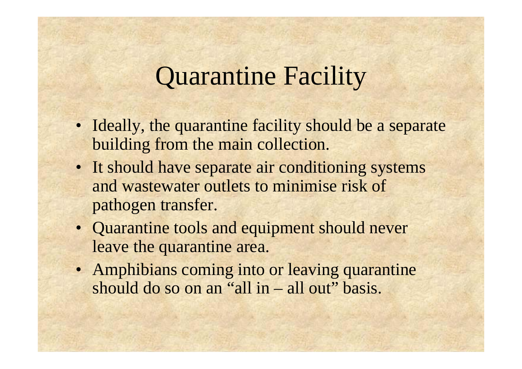### Quarantine Facility

- Ideally, the quarantine facility should be a separate building from the main collection.
- It should have separate air conditioning systems and wastewater outlets to minimise risk of pathogen transfer.
- Quarantine tools and equipment should never leave the quarantine area.
- Amphibians coming into or leaving quarantine should do so on an "all in – all out" basis.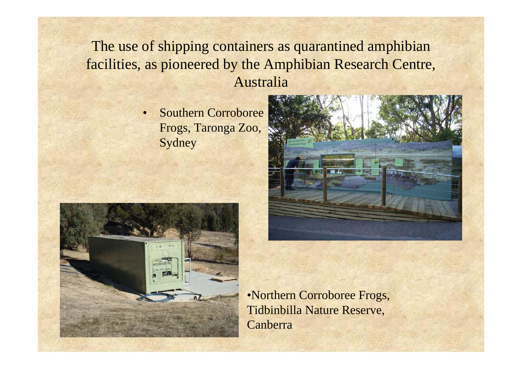#### The use of shipping containers as quarantined amphibian facilities, as pioneered by the Amphibian Research Centre, Australia

• Southern Corroboree Frogs, Taronga Zoo, Sydney





•Northern Corroboree Frogs, Tidbinbilla Nature Reserve, **Canberra**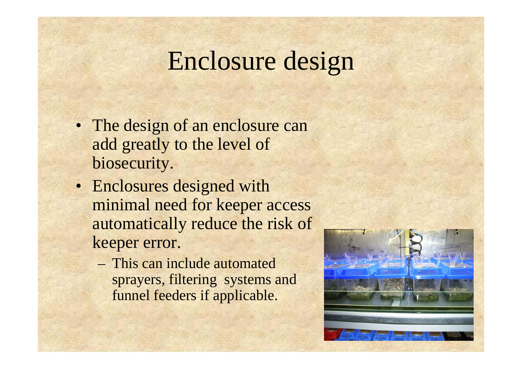#### Enclosure design

- The design of an enclosure can add greatly to the level of biosecurity.
- Enclosures designed with minimal need for keeper access automatically reduce the risk of keeper error.
	- This can include automated sprayers, filtering systems and funnel feeders if applicable.

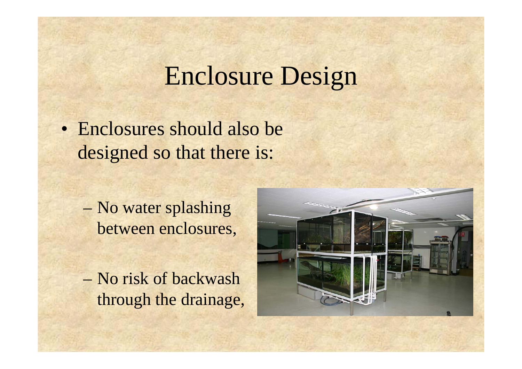#### Enclosure Design

• Enclosures should also be designed so that there is:

- No water splashing between enclosures,
- No risk of backwash through the drainage,

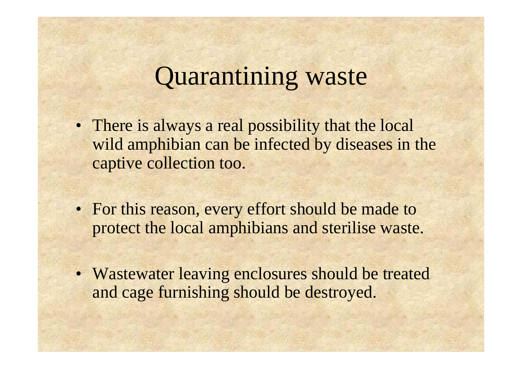# Quarantining waste

- There is always a real possibility that the local wild amphibian can be infected by diseases in the captive collection too.
- For this reason, every effort should be made to protect the local amphibians and sterilise waste.
- Wastewater leaving enclosures should be treated and cage furnishing should be destroyed.